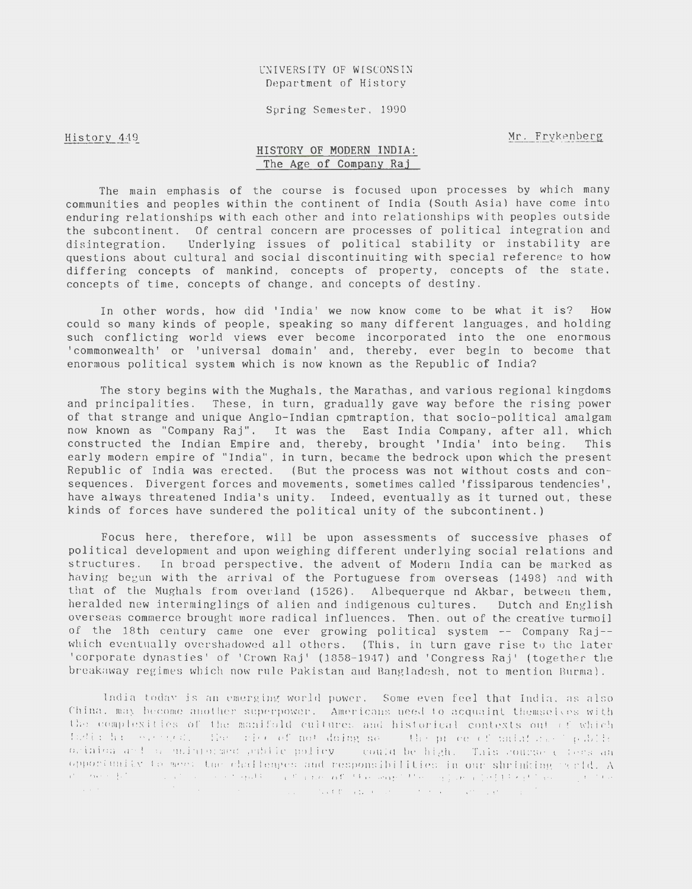Spring Semester. 1990

### History 449

Mr. Frykenberg

## HISTORY OF MODERN INDIA: The Age of Company Raj

The main emphasis of the course *is* focused upon processes by which many communities and peoples within the continent of India (South Asia) have come into enduring relationships with each other and into relationships with peoples outside the subcontinent. Of central concern are processes of political integration and disintegration. Underlying issues of political stability or instability are questions about cultural and social discontinuiting with special reference to how differing concepts of mankind, concepts of property, concepts of the state. concepts of time, concepts of change, and concepts of destiny .

In other words, how *did* 'India' we now know come to be what it *is?* How could so many kinds of people, speaking so many different languages, and holding such conflicting world views ever become incorporated into the one enormous 'commonwealth' or 'universal domain' and, thereby, ever begin to become that enormous political system which *is* now known as the Republic of India?

The story begins with the Mughals, the Marathas, and various regional kingdoms and principalities. These, in turn, gradually gave way before the *rising* power of that strange and unique Anglo-Indian cpmtraption, that socio-political amalgam now known as "Company Raj". It was the East India Company, after all, which constructed the Indian Empire and, thereby, brought 'India' into being. This early modern empire of "India", in turn, became the bedrock upon which the present Republic of India was erected. (But the process was not without costs and consequences. Divergent forces and movements, sometimes called 'fissiparous tendencies', have always threatened India's unity. Indeed, eventually as it turned out, these kinds of forces have sundered the political unity of the subcontinent.)

Focus here, therefore, will be upon assessments of successive phases of political development and upon weighing different underlying social relations and structures. In broad perspective, the advent of Modern India can be marked as having begun with the arrival of the Portuguese from overseas (1498) nnd with that of the Mughals from overland  $(1526)$ . Albequerque nd Akbar, between them, he ralded new interminglings of alien and indigenous cultures. Dutch and English overseas commerce brought more radical influences. Then. out of the creative turmoil of the 18th century came one ever growing political system -- Company Raj- which eventually overshadowed all others. (This, in turn gave rise to the later 'corporate dynasties' of 'Crown Raj' (1858-1947) and 'Congress Raj' (together the breakaway regimes which now rule Pakistan and Bangladesh, not to mention Burma).

India today is an emerging world power. Some even feel that India, as also China, may become another superpower. Americans need to acquaint themselves with  $\sim$ the complexities of the manifold cultures and historical contexts out of which It:dis his evenged. The rice of not doing so the proceef uniafical public ocinion and a unintermed public policy - could be high. This course  $\epsilon$  (eas an opporiently to meet the challenges and responsibilities in our shrinking rerid. A di i den 1970 i 1970 va visi se stepati i 1990 pape pati titas magnitites i gigiae poletiti katitude i 1990 tem<br>Sentito i 1990 i 1990 i 1990 i 1990 i 1990 va visi tapa e da se in temperatura per superior politico.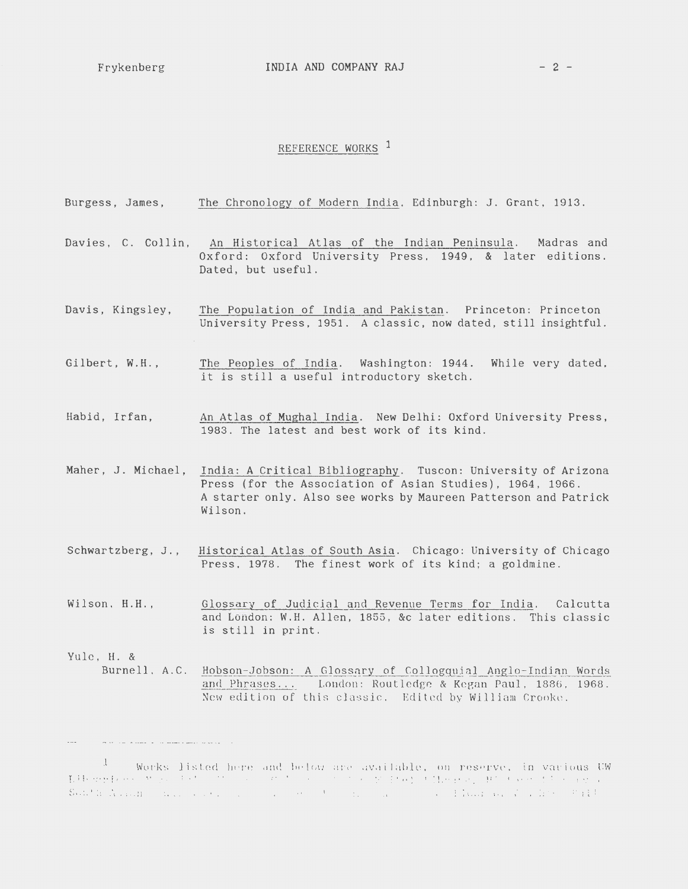المناطق والمستقطات والمستحدث

 $\ldots$ 

# REFERENCE WORKS<sup>1</sup>

|                    | Burgess, James, The Chronology of Modern India. Edinburgh: J. Grant, 1913.                                                                                                                               |
|--------------------|----------------------------------------------------------------------------------------------------------------------------------------------------------------------------------------------------------|
|                    | Davies, C. Collin, An Historical Atlas of the Indian Peninsula. Madras and<br>Oxford: Oxford University Press, 1949, & later editions.<br>Dated, but useful.                                             |
| Davis, Kingsley,   | The Population of India and Pakistan. Princeton: Princeton<br>University Press, 1951. A classic, now dated, still insightful.                                                                            |
| Gilbert, W.H.,     | The Peoples of India. Washington: 1944. While very dated,<br>it is still a useful introductory sketch.                                                                                                   |
| Habid, Irfan,      | An Atlas of Mughal India. New Delhi: Oxford University Press,<br>1983. The latest and best work of its kind.                                                                                             |
| Maher, J. Michael, | India: A Critical Bibliography. Tuscon: University of Arizona<br>Press (for the Association of Asian Studies), 1964, 1966.<br>A starter only. Also see works by Maureen Patterson and Patrick<br>Wilson. |
| Schwartzberg, J.,  | Historical Atlas of South Asia. Chicago: University of Chicago<br>Press. 1978. The finest work of its kind; a goldmine.                                                                                  |
| Wilson, H.H.,      | Glossary of Judicial and Revenue Terms for India. Calcutta<br>and London: W.H. Allen, 1855, &c later editions. This classic<br>is still in print.                                                        |
| Yule, H. &         | Burnell, A.C. Hobson-Jobson: A Glossary of Collogquial Anglo-Indian Words<br>and Phrases London: Routledge & Kegan Paul, 1886, 1968.<br>New edition of this classic. Edited by William Crooke.           |

<sup>&</sup>lt;sup>1</sup> Works listed here and below are available, on reserve, in various UW<br>Libergian (Mega is the Common and Mega is the Mega is there is the second second the second<br>South Assembly have seen as a common contract of the sec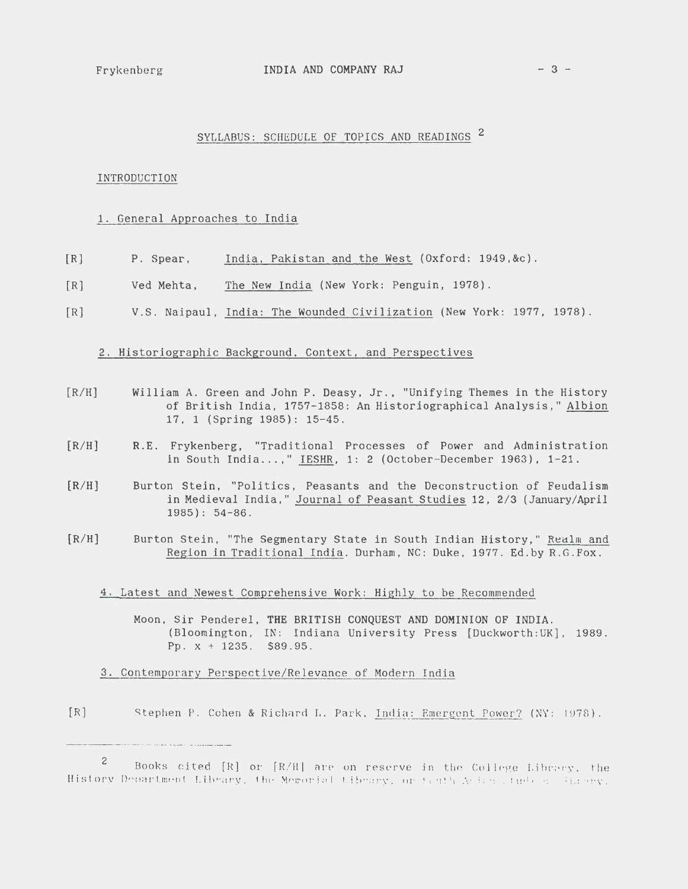### $Frykenberg$  INDIA AND COMPANY RAJ  $-3$  -

## SYLLABUS: SCHEDULE OF TOPICS AND READINGS<sup>2</sup>

### INTRODUCTION

## 1. General Approaches to India

- $[R]$ P. Spear, India, Pakistan and the West (Oxford: 1949,&c).
- $[R]$ Ved Mehta, The New India (New York: Penguin, 1978).
- [R] V.S. Naipaul, India: The Wounded Civilization (New York: 1977, 1978).

## 2. Historiographic Background, Context, and Perspectives

- [R/H] William A. Green and John P. Deasy, Jr., "Unifying Themes in the History of British India, 1757-1858: An Historiographical Analysis," Albion 17, 1 (Spring 1985): 15-45.
- $[R/H]$ R. E. Frykenberg, "Traditional Processes of Power and Administration in South India ... ," IESHR, 1: 2 (October-December 1963), 1-21.
- $[R/H]$ Burton Stein, "Politics, Peasants and the Deconstruction of Feudalism in Medieval India," Journal of Peasant Studies 12, 2/3 (January/April 1985): 54-86.
- [R/H] Burton Stein, "The Segmentary State in South Indian History," Realm and Region in Traditional India. Durham, NC: Duke, 1977. Ed.by R.G. Fox.
	- 4. Latest and Newest Comprehensive Work: Highly to be Recommended
		- Moon, Sir Penderel, THE BRITISH CONQUEST AND DOMINION OF INDIA. (Bloomington, IN: Indiana University Press [Duckworth: UK], 1989. Pp.  $x + 1235$ . \$89.95.
	- 3. Contemporary Perspective /Relevance of Modern India
- [R] Stephen P. Cohen & Richard L. Park, India: Emergent Power? (NY: 1978).

<sup>2</sup> Books cited [R] or [R/H] are on reserve in the College Library, the History Department Library, the Memorial Library, or fault Action (thelese threey,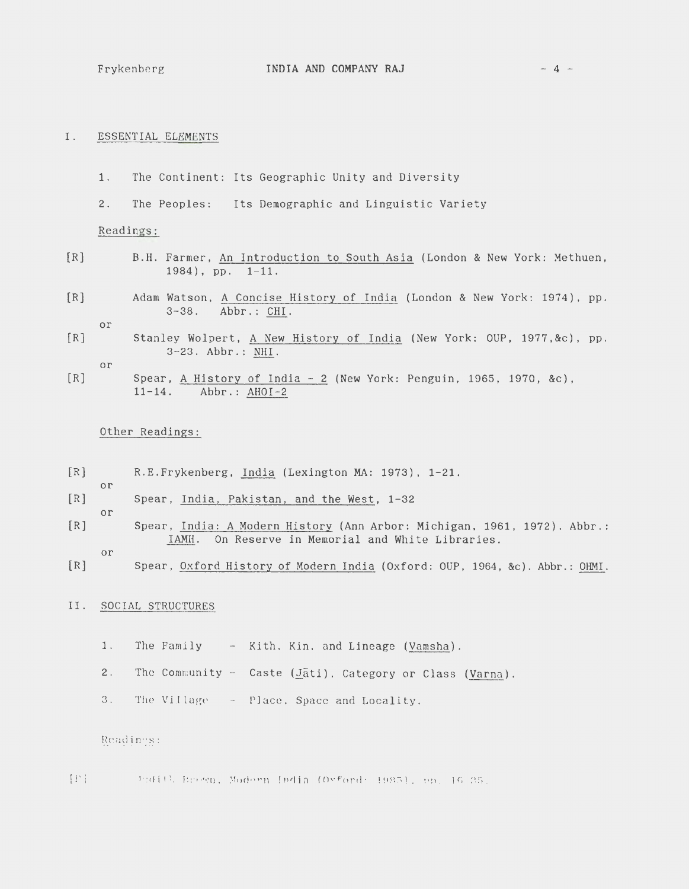- 1. The Continent: Its Geographic Unity and Diversity
- 2. The Peoples: Its Demographic and Linguistic Variety

Readings:

- [R] B.H. Farmer, An Introduction to South Asia (London & New York: Methuen, 1984), pp. 1-11.
- [R] Adam Watson, A Concise History of India (London & New York: 1974), pp. 3-38. Abbr.: CHI.

or

[R] Stanley Wolpert, A New History of India (New York: OUP, 1977,&c), pp. 3-23. Abbr.: NHI.

or

or

or

or

[R] Spear, A History of India- 2 (New York: Penguin, 1965, 1970, &c), 11-14. Abbr.: AHOI-2

## Other Readings:

- [R] R.E.Frykenberg, India (Lexington MA: 1973), 1-21.
- [R] Spear, India, Pakistan, and the West, 1-32
- [R] Spear, India: A Modern History (Ann Arbor: Michigan, 1961, 1972). Abbr.: IAMH. On Reserve in Memorial and White Libraries.
- [R] Spear, Oxford History of Modern India (Oxford: OUP, 1964, &c). Abbr.: OHMI.

#### II. SOCIAL STRUCTURES

- 1. The Family Kith, Kin, and Lineage (Vamsha).
- 2. The Community Caste (Jati), Category or Class (Varna).
- 3. The Village Place, Space and Locality.

Readings:

 $[T]$  . Judith Erewn, Modern India (Oxford: 1985), pp. 16-25.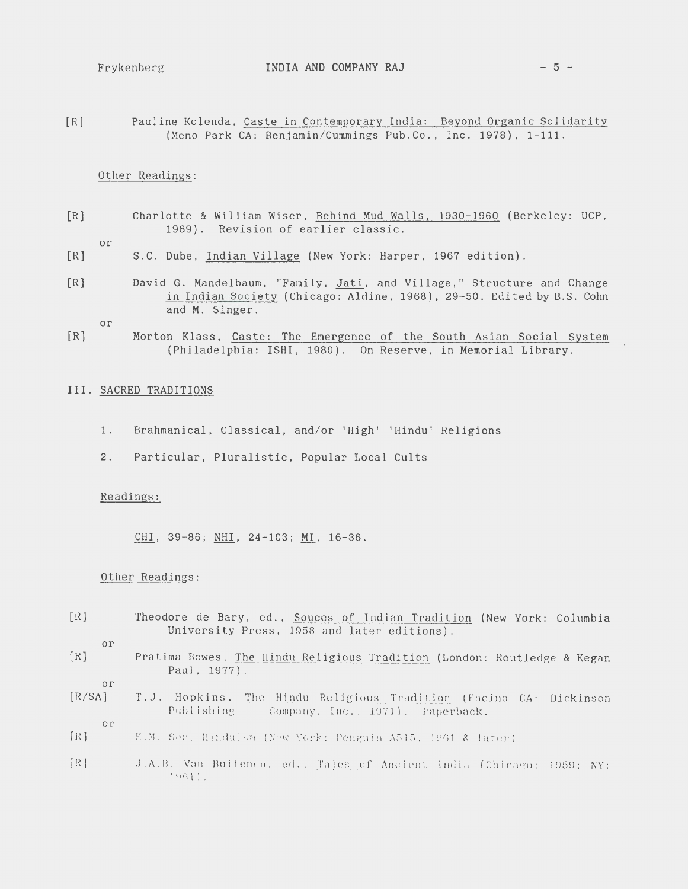[Rl Pauline Kolenda, Caste in Contemporary India: Beyond Organic Solidarity (Meno Park CA: Benjamin/Cummings Pub.Co ., Inc. 1978), 1-111 .

## Other Readings:

- [R] Charlotte & William Wiser, Behind Mud Walls, 1930-1960 (Berkeley: UCP, 1969). Revision of earlier classic.
	- or
- [R] S.C . Dube, Indian Village (New York: Harper, 1967 edition).
- [R] David G. Mandelbaum, "Family, Jati, and Village," Structure and Change in Indian Society (Chicago: Aldine, 1968), 29-50. Edited by B.S. Cohn and M. Singer.

or

[R] Morton Klass, Caste: The Emergence of the South Asian Social System (Philadelphia: ISH!, 1980). On Reserve, in Memorial Library.

## III. SACRED TRADITIONS

- 1. Brahmanical, Classical, and/or 'High' 'Hindu' Religions
- 2. Particular, Pluralistic, Popular Local Cults

### Readings:

CHI, 39-86; NHI, 24-103; MI, 16-36.

## Other Readings:

- [R] Theodore de Bary, ed., Souces of Indian Tradition (New York: Columbia University Press, 1958 and later editions).
	- or
- [R] Pratima Bowes, The Hindu Religious Tradition (London: Routledge & Kegan Paul, 1977).
- or
- $[R/SA]$ T.J. Hopkins, The Hindu Religious Tradition (Encino CA: Dickinson Publishing Company, Inc., 1971). Paperback.
	- or
- $[R]$ K.M. Sen. Hinduism (New York: Penguin A515, 1961 & later).
- ${R}$  .J.A.B. Van Buitenen. ed., Tales of Ancient India (Chicago: 1959: NY: 1%1)-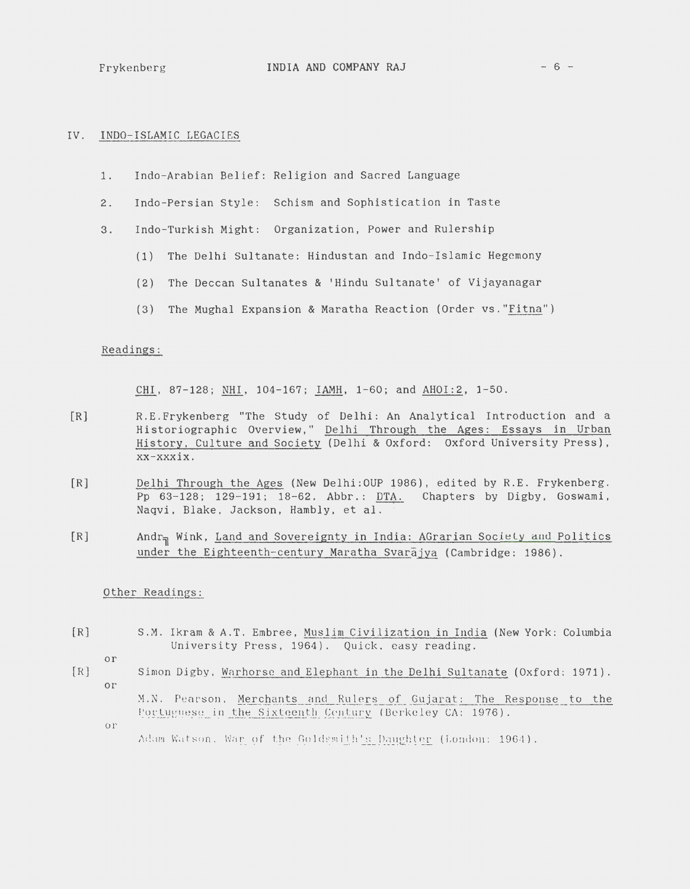## IV. INDO-ISLAMIC LEGACIES

- 1. Indo-Arabian Belief: Religion and Sacred Language
- 2. Indo-Persian Style: Schism and Sophistication in Taste
- 3. Indo-Turkish Might: Organization, Power and Rulership
	- (1) The Delhi Sultanate: Hindustan and Indo-Islamic Hegemony
	- (2) The Deccan Sultanates & 'Hindu Sultanate' of Vijayanagar
	- (3) The Mughal Expansion & Maratha Reaction (Order vs."Fitna")

### Readings:

CHI, 87-128; NHI, 104-167; IAMH, 1-60; and AHOI:2, 1-50.

- [R] R.E.Frykenberg "The Study of Delhi: An Analytical Introduction and a Historiographic Overview," Delhi Through the Ages: Essays in Urban History, Culture and Society (Delhi & Oxford: Oxford University Press), xx-xxxix.
- [R] Delhi Through the Ages (New Delhi:OUP 1986), edited by R.E. Frykenberg. Pp 63-128; 129-191; 18-62. Abbr.: DTA. Chapters by Digby, Goswami, Naqvi, Blake, Jackson, Hambly, et al.
- [R] Andr<sub>n</sub> Wink, Land and Sovereignty in India: AGrarian Society and Politics under the Eighteenth-century Maratha Svarajya (Cambridge: 1986).

Other Readings:

- [R] S.M. Ikram & A.T . Embree , Muslim Civilization in India (New York: Columbia University Press, 1964). Quick. easy reading.
	- or
- [R] Simon Digby, Warhorse and Elephant in the Delhi Sultanate (Oxford: 1971). or

M.N. Pearson. Merchants and Rulers of Gujarat: The Response to the Portuguese in the Sixteenth Century (Berkeley CA: 1976).

or

Adam Watson, War of the Goldsmith's Daughter (London; 1964).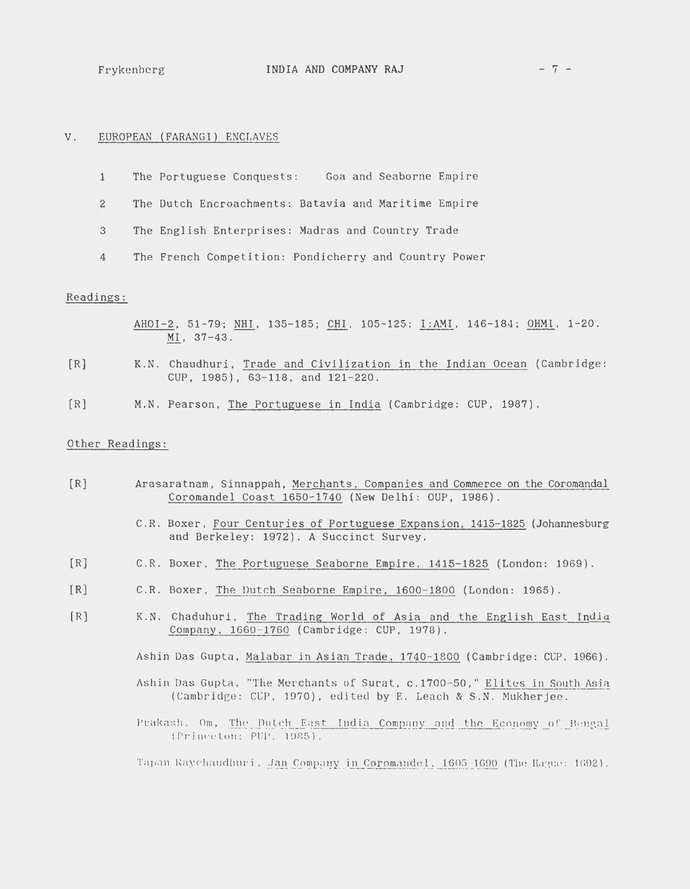## V. EUROPEAN (FARANGI) ENCLAVES

- **1** The Portuguese Conquests: Goa and Seaborne Empire
- 2 The Dutch Encroachments: Batavia and Maritime Empire
- 3 The English Enterprises: Madras and Country Trade
- 4 The French Competition: Pondicherry and Country Power

## Readings:

- AHOI-2, 51-79; NHI, 135-185; CHI, 105-125; I:AMI, 146-184; OHMI, 1-20. MI, 37-43.
- [R] K.N. Chaudhuri, Trade and Civilization in the Indian Ocean (Cambridge: CUP, 1985), 63-118, and 121-220.
- [R] M.N. Pearson, The Portuguese in India (Cambridge: CUP, 1987).

## Other Readings:

- [R] Arasaratnam, Sinnappah, Merchants, Companies and Commerce on the Coromandal Coromandel Coast 1650-1740 (New Delhi: OUP, 1986).
	- C.R . Boxer, Four Centuries of Portuguese Expansion, 1415-1825 (Johannesburg and Berkeley: 1972). A Succinct Survey.
- [R] C.R. Boxer, The Portuguese Seaborne Empire, 1415-1825 (London: 1969).
- [R] C.R. Boxer, The Dutch Seaborne Empire, 1600-1800 (London: 1965) .
- [R] K.N. Chaduhuri, The Trading World of Asia and the English East India Company, 1660-1760 (Cambridge: CUP, 1978).

Ashin Das Gupta, Malabar in Asian Trade, 1740-1800 (Cambridge: CUP, 1966).

- Ashin Das Gupta, "The Merchants of Surat, c.1700-50," Elites in South Asia (Cambridge: CUP, 1970), edited by E. Leach & S.N. Mukherjee.
- Prakash. Om, The Dutch East India Company and the Economy of Bengal (Princeton: PUP, 1985).

Tapan Raychaudhuri, Jan Company in Coromandel, 1605-1690 (The Hague: 1692).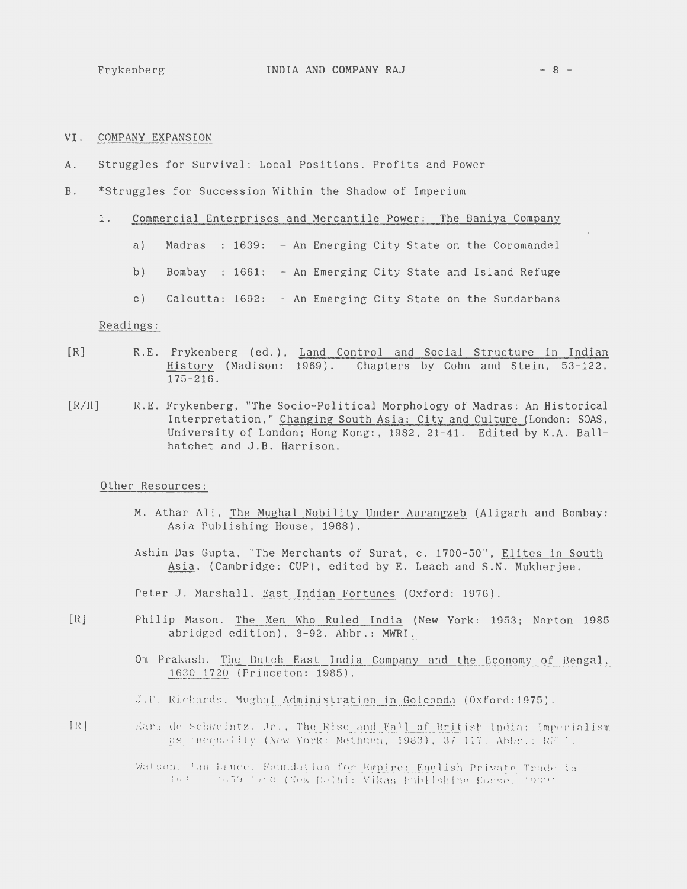- VI. COMPANY EXPANSION
- Struggles for Survival: Local Positions, Profits and Power A.
- $B<sub>1</sub>$ \*Struggles for Succession Within the Shadow of Imperium
	- Commercial Enterprises and Mercantile Power: The Baniya Company  $1.$ 
		- $a)$ Madras : 1639: - An Emerging City State on the Coromandel
		- $b)$ Bombay : 1661: - An Emerging City State and Island Refuge
		- $c)$ Calcutta: 1692: - An Emerging City State on the Sundarbans

#### Readings:

- $[R]$ R.E. Frykenberg (ed.), Land Control and Social Structure in Indian History (Madison: 1969). Chapters by Cohn and Stein, 53-122,  $175 - 216$ .
- $[R/H]$ R.E. Frykenberg, "The Socio-Political Morphology of Madras: An Historical Interpretation," Changing South Asia: City and Culture (London: SOAS, University of London; Hong Kong:, 1982, 21-41. Edited by K.A. Ballhatchet and J.B. Harrison.

#### Other Resources:

- M. Athar Ali, The Mughal Nobility Under Aurangzeb (Aligarh and Bombay: Asia Publishing House, 1968).
- Ashin Das Gupta, "The Merchants of Surat, c. 1700-50", Elites in South Asia, (Cambridge: CUP), edited by E. Leach and S.N. Mukherjee.

Peter J. Marshall, East Indian Fortunes (Oxford: 1976).

- $[R]$ Philip Mason, The Men Who Ruled India (New York: 1953; Norton 1985 abridged edition), 3-92. Abbr.: MWRI.
	- Om Prakash. The Dutch East India Company and the Economy of Bengal, 1630-1720 (Princeton: 1985).
	- J.F. Richards, Mughal Administration in Golconda (Oxford: 1975).
- $[ R ]$ Karl de Schweintz, Jr., The Rise and Fall of British India: Imperialism as Inequality (New York: Methuen, 1983), 37-117. Abbr.: REUT.

Watson, Ian Bruce, Foundation for Empire: English Private Trade in dels (1959-1700 (New Delhi: Vikas Publishino House, 1959)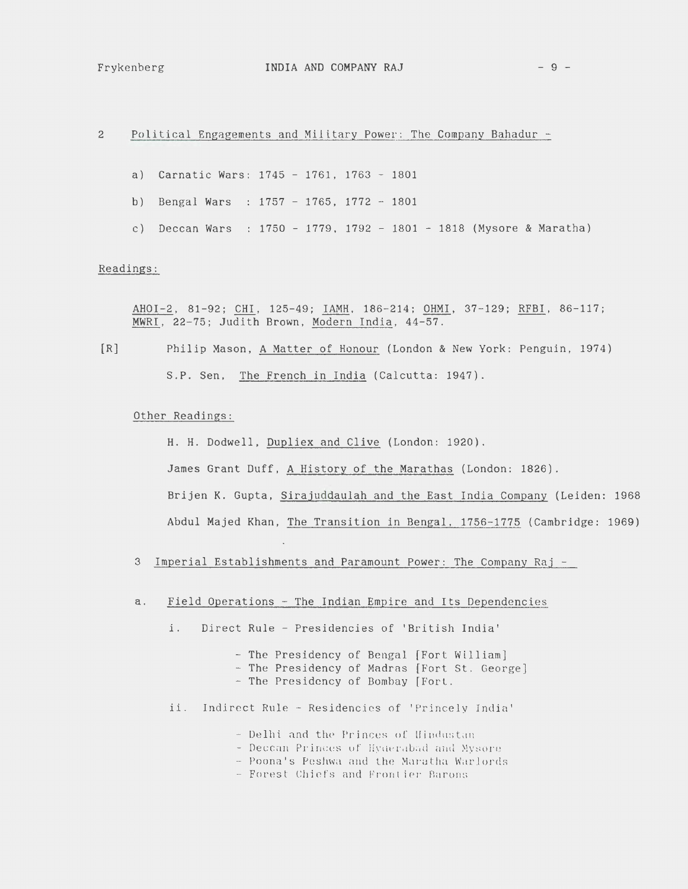Political Engagements and Military Power: The Company Bahadur - $\overline{2}$ 

- a) Carnatic Wars: 1745 1761, 1763 1801
- b) Bengal Wars : 1757 1765, 1772 1801
- c) Deccan Wars : 1750 1779, 1792 1801 1818 (Mysore & Maratha)

## Readings:

AHOI-2, 81-92; CHI, 125-49; IAMH, 186-214; OHMI, 37-129; RFBI, 86-117; MWRI, 22-75; Judith Brown, Modern India, 44-57.

 $[R]$ Philip Mason, A Matter of Honour (London & New York: Penguin, 1974) S.P. Sen, The French in India (Calcutta: 1947).

## Other Readings:

H. H. Dodwell, Dupliex and Clive (London: 1920). James Grant Duff, A History of the Marathas (London: 1826). Brijen K. Gupta, Sirajuddaulah and the East India Company (Leiden: 1968 Abdul Majed Khan, The Transition in Bengal, 1756-1775 (Cambridge: 1969)

- 3 Imperial Establishments and Paramount Power: The Company Raj -
- a. Field Operations - The Indian Empire and Its Dependencies
	- i. Direct Rule - Presidencies of 'British India'
		- The Presidency of Bengal [Fort William]
		- The Presidency of Madras [Fort St. George]
		- The Presidency of Bombay [Fort.
	- ii. Indirect Rule Residencies of 'Princely India'
		- Delhi and the Princes of Hindustan
		- Deccan Princes of Hyderabad and Mysore
		- Poona's Peshwa and the Maratha Warlords
		- Forest Chiefs and Frontier Barons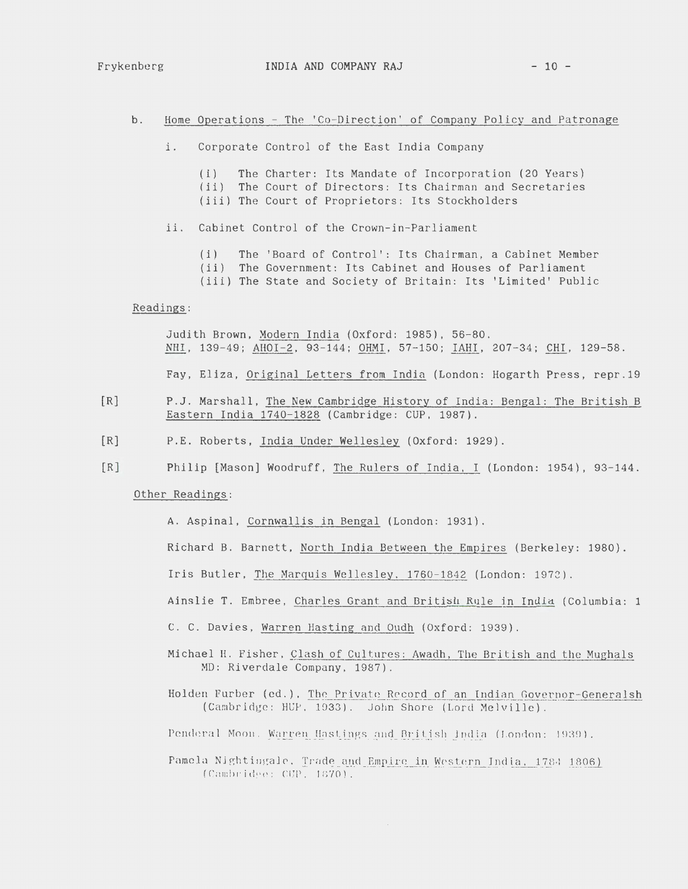#### $b$ . Home Operations - The 'Co-Direction' of Company Policy and Patronage

- $\mathbf{i}$ . Corporate Control of the East India Company
	- The Charter: Its Mandate of Incorporation (20 Years)  $(i)$ (ii) The Court of Directors: Its Chairman and Secretaries (iii) The Court of Proprietors: Its Stockholders
- Cabinet Control of the Crown-in-Parliament  $ii.$ 
	- The 'Board of Control': Its Chairman, a Cabinet Member  $(i)$
	- (ii) The Government: Its Cabinet and Houses of Parliament
	- (iii) The State and Society of Britain: Its 'Limited' Public

#### Readings:

Judith Brown, Modern India (Oxford: 1985), 56-80. NHI, 139-49; AHOI-2, 93-144; OHMI, 57-150; IAHI, 207-34; CHI, 129-58. Fay, Eliza, Original Letters from India (London: Hogarth Press, repr.19

- $[R]$ P.J. Marshall, The New Cambridge History of India: Bengal: The British B Eastern India 1740-1828 (Cambridge: CUP, 1987).
- $[R]$ P.E. Roberts, India Under Wellesley (Oxford: 1929).
- $IR$ ] Philip [Mason] Woodruff, The Rulers of India, I (London: 1954), 93-144.

## Other Readings:

A. Aspinal, Cornwallis in Bengal (London: 1931).

Richard B. Barnett, North India Between the Empires (Berkeley: 1980).

Iris Butler, The Marquis Wellesley, 1760-1842 (London: 1972).

Ainslie T. Embree, Charles Grant and British Rule in India (Columbia: 1

C. C. Davies, Warren Hasting and Oudh (Oxford: 1939).

- Michael H. Fisher, Clash of Cultures: Awadh, The British and the Mughals MD: Riverdale Company, 1987).
- Holden Furber (ed.). The Private Record of an Indian Governor-Generalsh (Cambridge: HUP, 1933). John Shore (Lord Melville).
- Penderal Moon. Warren Hastings and British India (London: 1939).
- Pamela Nightingale, Trade and Empire in Western India, 1784 1806) (Cambridge: CUP, 1870).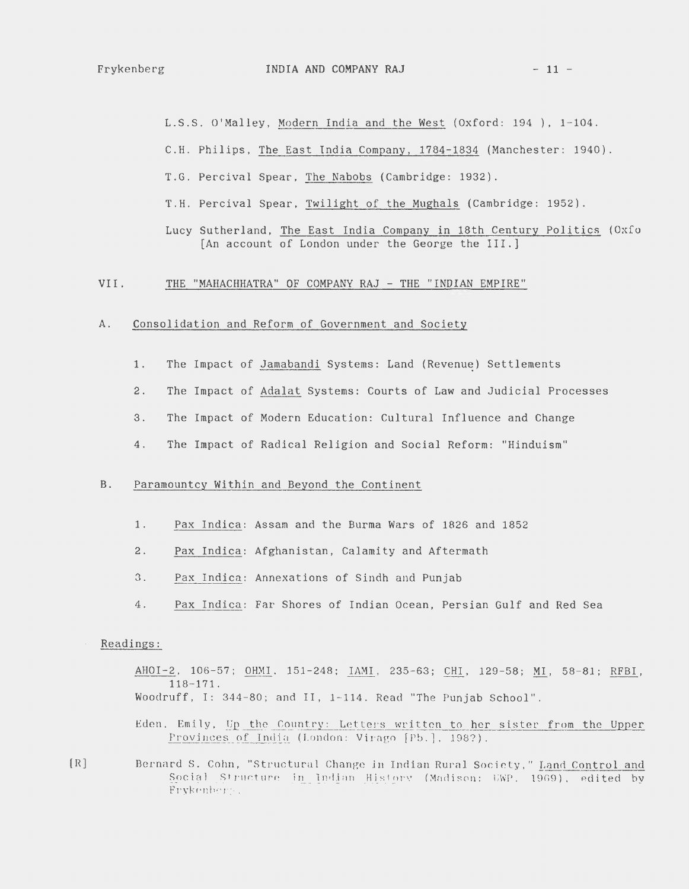L.S.S. O'Malley, Modern India and the West (Oxford: 194), 1-104.

C.H. Philips, The East India Company, 1784-1834 (Manchester: 1940).

T.G. Percival Spear, The Nabobs (Cambridge: 1932).

T.H. Percival Spear, Twilight of the Mughals (Cambridge: 1952).

Lucy Sutherland, The East India Company in 18th Century Politics (Oxfo [An account of London under the George the III.]

#### VII. THE "MAHACHHATRA" OF COMPANY RAJ - THE "INDIAN EMPIRE"

#### Consolidation and Reform of Government and Society A .

- The Impact of Jamabandi Systems: Land (Revenue) Settlements  $1.$
- $2.$ The Impact of Adalat Systems: Courts of Law and Judicial Processes
- The Impact of Modern Education: Cultural Influence and Change  $3.$
- The Impact of Radical Religion and Social Reform: "Hinduism"  $4.$

#### Paramountcy Within and Beyond the Continent  $B.$

- $1.$ Pax Indica: Assam and the Burma Wars of 1826 and 1852
- $2.$ Pax Indica: Afghanistan, Calamity and Aftermath
- $3.$ Pax Indica: Annexations of Sindh and Punjab
- Pax Indica: Far Shores of Indian Ocean, Persian Gulf and Red Sea  $4.$

### Readings:

AHOI-2, 106-57; OHMI, 151-248; IAMI, 235-63; CHI, 129-58; MI, 58-81; RFBI,  $118 - 171.$ Woodruff, I: 344-80; and II, 1-114. Read "The Punjab School".

Eden, Emily, Up the Country: Letters written to her sister from the Upper Provinces of India (London: Virago [Pb.], 198?).

Bernard S. Cohn, "Structural Change in Indian Rural Society," Land Control and Social Structure in Indian History (Madison: UWP, 1969), edited by Frykenberg.

 $[R]$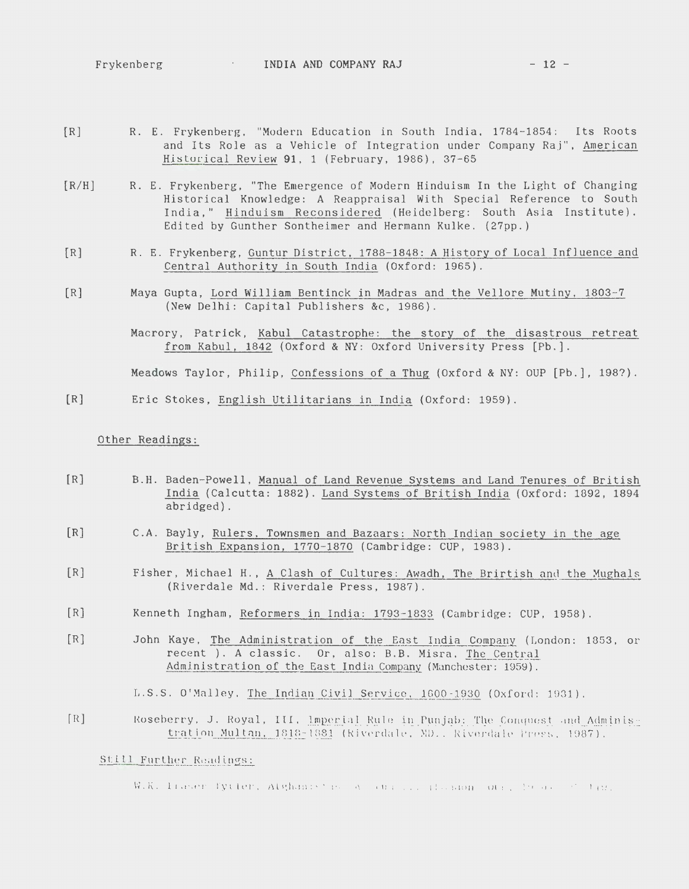Frykenberg **INDIA AND COMPANY RAJ** - **12** -

- [R] R. E. Frykenberg, "Modern Education in South India. 1784-1854: Its Roots and Its Role as a Vehicle of Integration under Company Raj", American Historical Review **91,** 1 (February, 1986), 37-65
- [R/H) R. E. Frykenberg, "The Emergence of Modern Hinduism In the Light of Changing Historical Knowledge: A Reappraisal With Special Reference to South India," Hinduism Reconsidered (Heidelberg: South Asia Institute). Edited by Gunther Sontheimer and Hermann Kulke. (27pp.)
- $[R]$ R. E. Frykenberg, Guntur District, 1788-1848: A History of Local Influence and Central Authority in South India (Oxford: 1965).
- $[R]$ Maya Gupta, Lord William Bentinck in Madras and the Vellore Mutiny, 1803-7 (New Delhi: Capital Publishers &c, 1986).
	- Macrory, Patrick, Kabul Catastrophe: the story of the disastrous retreat from Kabul, 1842 (Oxford & NY: Oxford University Press [Pb.].

Meadows Taylor, Philip, Confessions of a Thug (Oxford & NY: OUP [Pb.], 198?).

[R] Eric Stokes, English Utilitarians in India (Oxford: 1959).

## Other Readings:

- [R] B.H. Baden-Powell, Manual of Land Revenue Systems and Land Tenures of British India (Calcutta: 1882). Land Systems of British India (Oxford: 1892, 1894 abridged).
- [R] C.A. Bayly, Rulers, Townsmen and Bazaars: North Indian society in the age British Expansion, 1770-1870 (Cambridge: CUP, 1983).
- [R] Fisher, Michael H., A Clash of Cultures: Awadh, The Brirtish and the Mughals (Riverdale Md.: Riverdale Press, 1987).
- [R] Kenneth Ingham, Reformers in India: 1793-1833 (Cambridge: CUP, 1958).
- [R] John Kaye, The Administration of the East India Company (London: 1853, or recent ). A classic. Or, also: B.B. Misra. The Central Administration of the East India Company (Manchester: 1959) .

L.S.S. O'Malley. The Indian Civil Service, 1600-1930 (Oxford: 1931).

[R] Eoseberry, J. Royal, III, lmperial Rule in Punjab: The Conquest and Administration Multan, 1818-1881 (Riverdale, MD., Riverdale Press. 1987).

## Still Further Readings:

W.K. Fraser fycter, Alghanistic A survive dealer our Process than